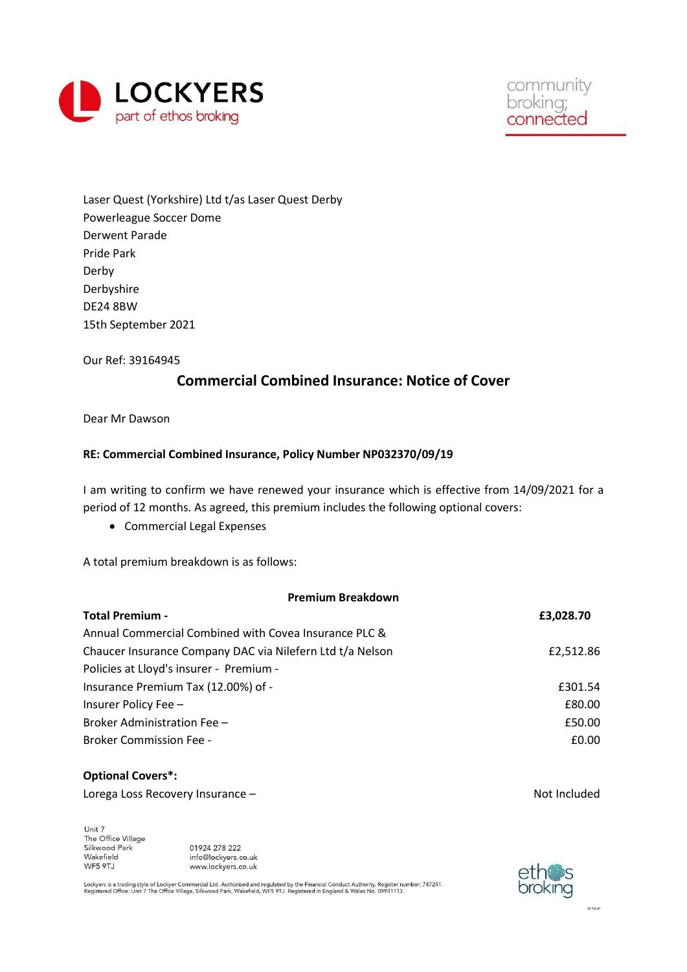

Laser Quest (Yorkshire) Ltd t/as Laser Quest Derby Powerleague Soccer Dome Derwent Parade Pride Park Derby Derbyshire DE24 8BW 15th September 2021

Our Ref: 39164945

## Commercial Combined Insurance: Notice of Cover

Dear Mr Dawson

### RE: Commercial Combined Insurance, Policy Number NP032370/09/19

I am writing to confirm we have renewed your insurance which is effective from 14/09/2021 for a period of 12 months. As agreed, this premium includes the following optional covers:

Commercial Legal Expenses

A total premium breakdown is as follows:

| <b>Premium Breakdown</b>                                  |              |  |
|-----------------------------------------------------------|--------------|--|
| <b>Total Premium -</b>                                    | £3,028.70    |  |
| Annual Commercial Combined with Covea Insurance PLC &     |              |  |
| Chaucer Insurance Company DAC via Nilefern Ltd t/a Nelson | £2,512.86    |  |
| Policies at Lloyd's insurer - Premium -                   |              |  |
| Insurance Premium Tax (12.00%) of -                       | £301.54      |  |
| Insurer Policy Fee -                                      | £80.00       |  |
| Broker Administration Fee -                               | £50.00       |  |
| <b>Broker Commission Fee -</b>                            | £0.00        |  |
|                                                           |              |  |
| <b>Optional Covers*:</b>                                  |              |  |
| Lorega Loss Recovery Insurance -                          | Not Included |  |

Unit 7 Unit /<br>The Office Village<br>Silkwood Park Wakefield WF5 9TJ

01924 278 222 info@lockyers.co.uk www.lockyers.co.uk

Lockyers is a trading style of Lockyer Commercial Ltd. Authorised and regulated by the Financial Conduct Authority. Register number: 747241.<br>Registered Office: Unit 7 The Office Village, Silkwood Park, Wakefield, WF5 9TJ.

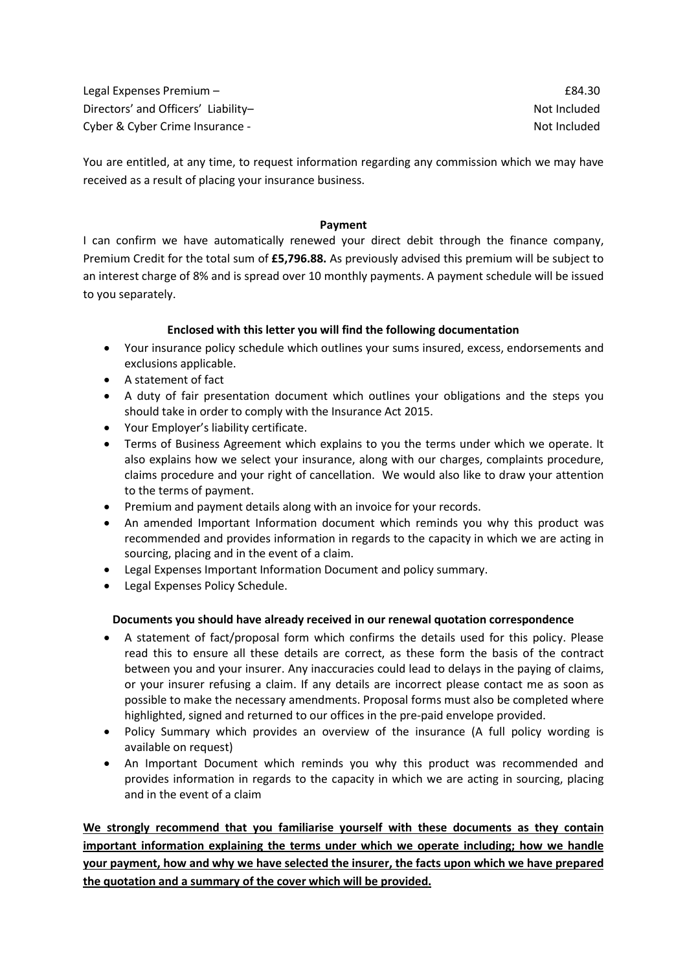Legal Expenses Premium – and the set of the set of the set of the set of the set of the set of the set of the set of the set of the set of the set of the set of the set of the set of the set of the set of the set of the se Directors' and Officers' Liability– Not Included Cyber & Cyber Crime Insurance - Not Included

You are entitled, at any time, to request information regarding any commission which we may have received as a result of placing your insurance business.

#### Payment

I can confirm we have automatically renewed your direct debit through the finance company, Premium Credit for the total sum of £5,796.88. As previously advised this premium will be subject to an interest charge of 8% and is spread over 10 monthly payments. A payment schedule will be issued to you separately.

### Enclosed with this letter you will find the following documentation

- Your insurance policy schedule which outlines your sums insured, excess, endorsements and exclusions applicable.
- A statement of fact
- A duty of fair presentation document which outlines your obligations and the steps you should take in order to comply with the Insurance Act 2015.
- Your Employer's liability certificate.
- Terms of Business Agreement which explains to you the terms under which we operate. It also explains how we select your insurance, along with our charges, complaints procedure, claims procedure and your right of cancellation. We would also like to draw your attention to the terms of payment.
- Premium and payment details along with an invoice for your records.
- An amended Important Information document which reminds you why this product was recommended and provides information in regards to the capacity in which we are acting in sourcing, placing and in the event of a claim.
- Legal Expenses Important Information Document and policy summary.
- Legal Expenses Policy Schedule.

### Documents you should have already received in our renewal quotation correspondence

- A statement of fact/proposal form which confirms the details used for this policy. Please read this to ensure all these details are correct, as these form the basis of the contract between you and your insurer. Any inaccuracies could lead to delays in the paying of claims, or your insurer refusing a claim. If any details are incorrect please contact me as soon as possible to make the necessary amendments. Proposal forms must also be completed where highlighted, signed and returned to our offices in the pre-paid envelope provided.
- Policy Summary which provides an overview of the insurance (A full policy wording is available on request)
- An Important Document which reminds you why this product was recommended and provides information in regards to the capacity in which we are acting in sourcing, placing and in the event of a claim

We strongly recommend that you familiarise yourself with these documents as they contain important information explaining the terms under which we operate including; how we handle your payment, how and why we have selected the insurer, the facts upon which we have prepared the quotation and a summary of the cover which will be provided.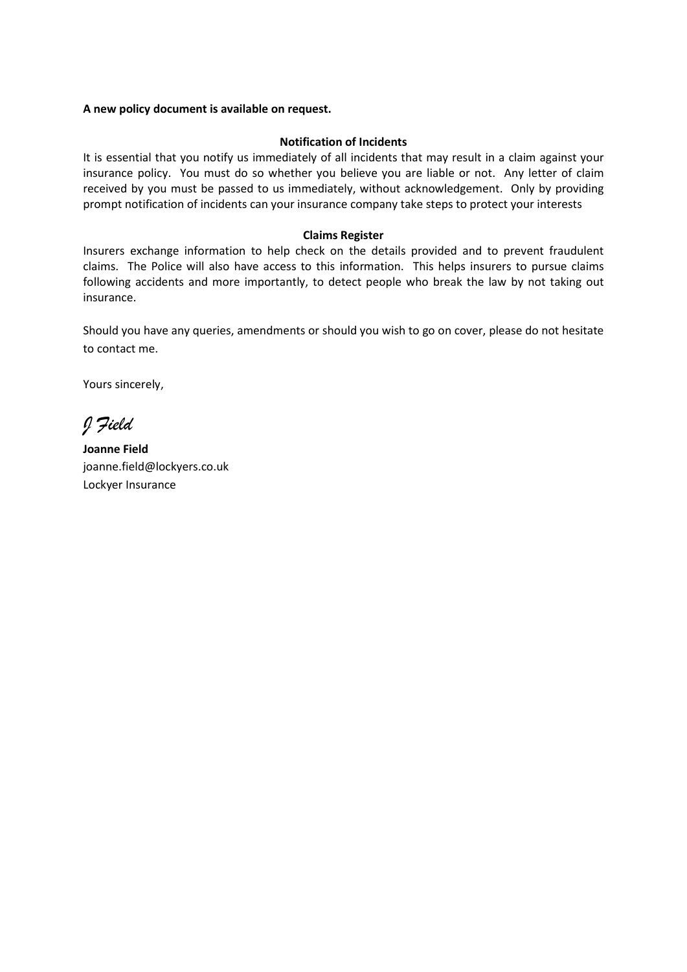#### A new policy document is available on request.

#### Notification of Incidents

It is essential that you notify us immediately of all incidents that may result in a claim against your insurance policy. You must do so whether you believe you are liable or not. Any letter of claim received by you must be passed to us immediately, without acknowledgement. Only by providing prompt notification of incidents can your insurance company take steps to protect your interests

#### Claims Register

Insurers exchange information to help check on the details provided and to prevent fraudulent claims. The Police will also have access to this information. This helps insurers to pursue claims following accidents and more importantly, to detect people who break the law by not taking out insurance.

Should you have any queries, amendments or should you wish to go on cover, please do not hesitate to contact me.

Yours sincerely,

J Field

Joanne Field joanne.field@lockyers.co.uk Lockyer Insurance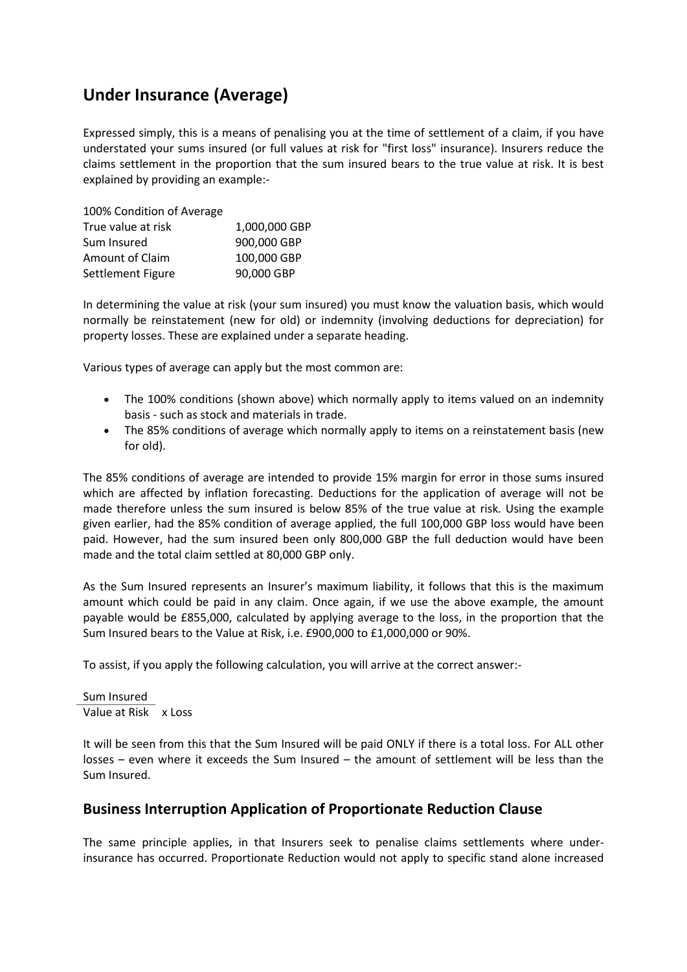# Under Insurance (Average)

Expressed simply, this is a means of penalising you at the time of settlement of a claim, if you have understated your sums insured (or full values at risk for "first loss" insurance). Insurers reduce the claims settlement in the proportion that the sum insured bears to the true value at risk. It is best explained by providing an example:-

| 100% Condition of Average |               |
|---------------------------|---------------|
| True value at risk        | 1,000,000 GBP |
| Sum Insured               | 900,000 GBP   |
| Amount of Claim           | 100,000 GBP   |
| Settlement Figure         | 90,000 GBP    |

In determining the value at risk (your sum insured) you must know the valuation basis, which would normally be reinstatement (new for old) or indemnity (involving deductions for depreciation) for property losses. These are explained under a separate heading.

Various types of average can apply but the most common are:

- The 100% conditions (shown above) which normally apply to items valued on an indemnity basis - such as stock and materials in trade.
- The 85% conditions of average which normally apply to items on a reinstatement basis (new for old).

The 85% conditions of average are intended to provide 15% margin for error in those sums insured which are affected by inflation forecasting. Deductions for the application of average will not be made therefore unless the sum insured is below 85% of the true value at risk. Using the example given earlier, had the 85% condition of average applied, the full 100,000 GBP loss would have been paid. However, had the sum insured been only 800,000 GBP the full deduction would have been made and the total claim settled at 80,000 GBP only.

As the Sum Insured represents an Insurer's maximum liability, it follows that this is the maximum amount which could be paid in any claim. Once again, if we use the above example, the amount payable would be £855,000, calculated by applying average to the loss, in the proportion that the Sum Insured bears to the Value at Risk, i.e. £900,000 to £1,000,000 or 90%.

To assist, if you apply the following calculation, you will arrive at the correct answer:-

Sum Insured Value at Risk x Loss

It will be seen from this that the Sum Insured will be paid ONLY if there is a total loss. For ALL other losses – even where it exceeds the Sum Insured – the amount of settlement will be less than the Sum Insured.

## Business Interruption Application of Proportionate Reduction Clause

The same principle applies, in that Insurers seek to penalise claims settlements where underinsurance has occurred. Proportionate Reduction would not apply to specific stand alone increased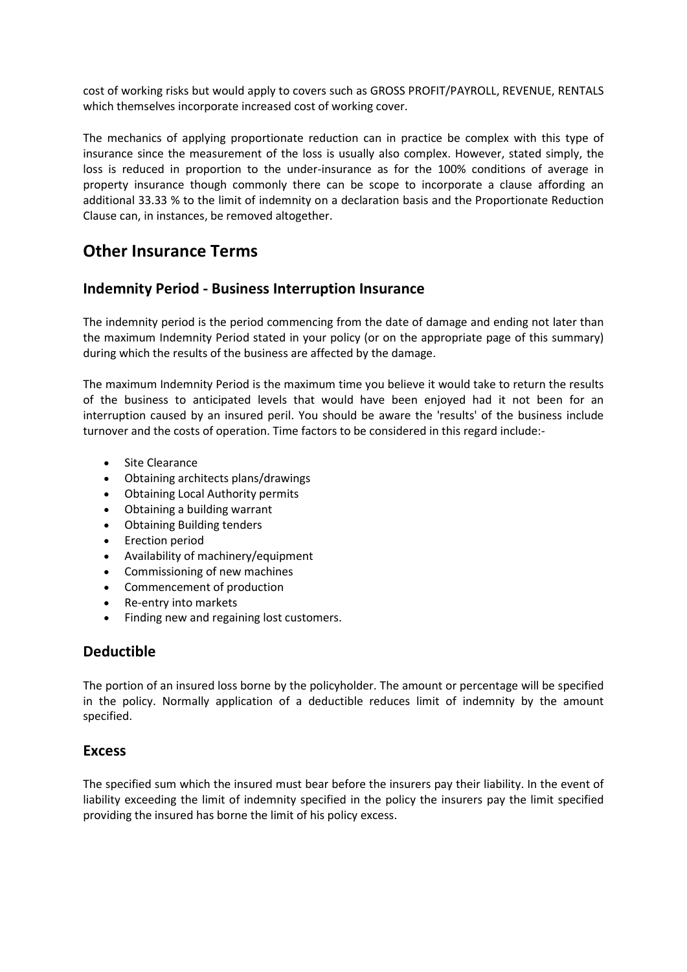cost of working risks but would apply to covers such as GROSS PROFIT/PAYROLL, REVENUE, RENTALS which themselves incorporate increased cost of working cover.

The mechanics of applying proportionate reduction can in practice be complex with this type of insurance since the measurement of the loss is usually also complex. However, stated simply, the loss is reduced in proportion to the under-insurance as for the 100% conditions of average in property insurance though commonly there can be scope to incorporate a clause affording an additional 33.33 % to the limit of indemnity on a declaration basis and the Proportionate Reduction Clause can, in instances, be removed altogether.

# Other Insurance Terms

## Indemnity Period - Business Interruption Insurance

The indemnity period is the period commencing from the date of damage and ending not later than the maximum Indemnity Period stated in your policy (or on the appropriate page of this summary) during which the results of the business are affected by the damage.

The maximum Indemnity Period is the maximum time you believe it would take to return the results of the business to anticipated levels that would have been enjoyed had it not been for an interruption caused by an insured peril. You should be aware the 'results' of the business include turnover and the costs of operation. Time factors to be considered in this regard include:-

- Site Clearance
- Obtaining architects plans/drawings
- Obtaining Local Authority permits
- Obtaining a building warrant
- Obtaining Building tenders
- Erection period
- Availability of machinery/equipment
- Commissioning of new machines
- Commencement of production
- Re-entry into markets
- Finding new and regaining lost customers.

## Deductible

The portion of an insured loss borne by the policyholder. The amount or percentage will be specified in the policy. Normally application of a deductible reduces limit of indemnity by the amount specified.

### Excess

The specified sum which the insured must bear before the insurers pay their liability. In the event of liability exceeding the limit of indemnity specified in the policy the insurers pay the limit specified providing the insured has borne the limit of his policy excess.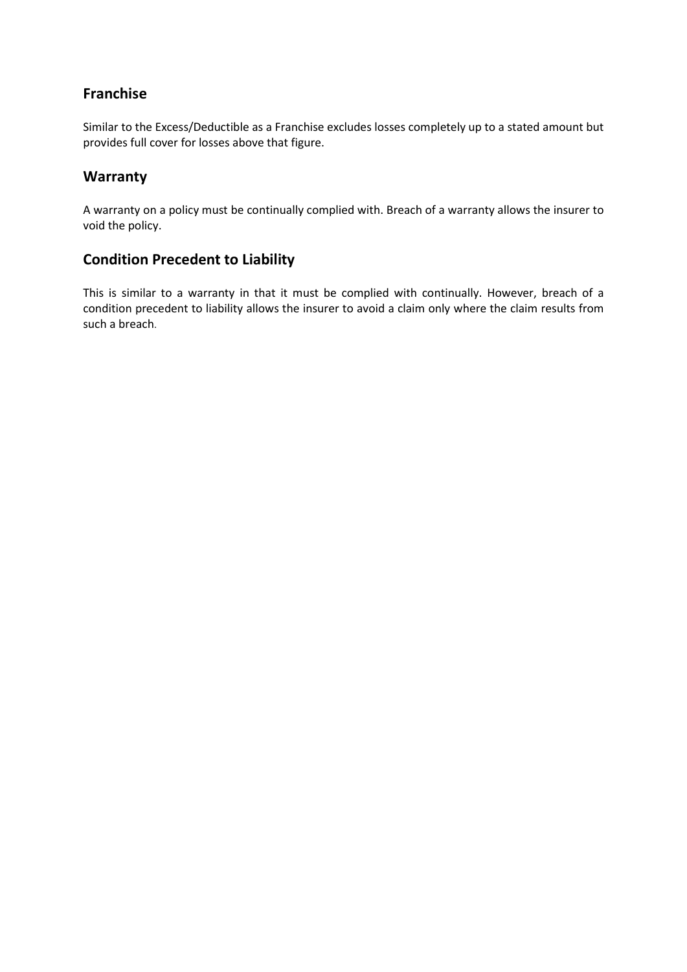## Franchise

Similar to the Excess/Deductible as a Franchise excludes losses completely up to a stated amount but provides full cover for losses above that figure.

## Warranty

A warranty on a policy must be continually complied with. Breach of a warranty allows the insurer to void the policy.

## Condition Precedent to Liability

This is similar to a warranty in that it must be complied with continually. However, breach of a condition precedent to liability allows the insurer to avoid a claim only where the claim results from such a breach.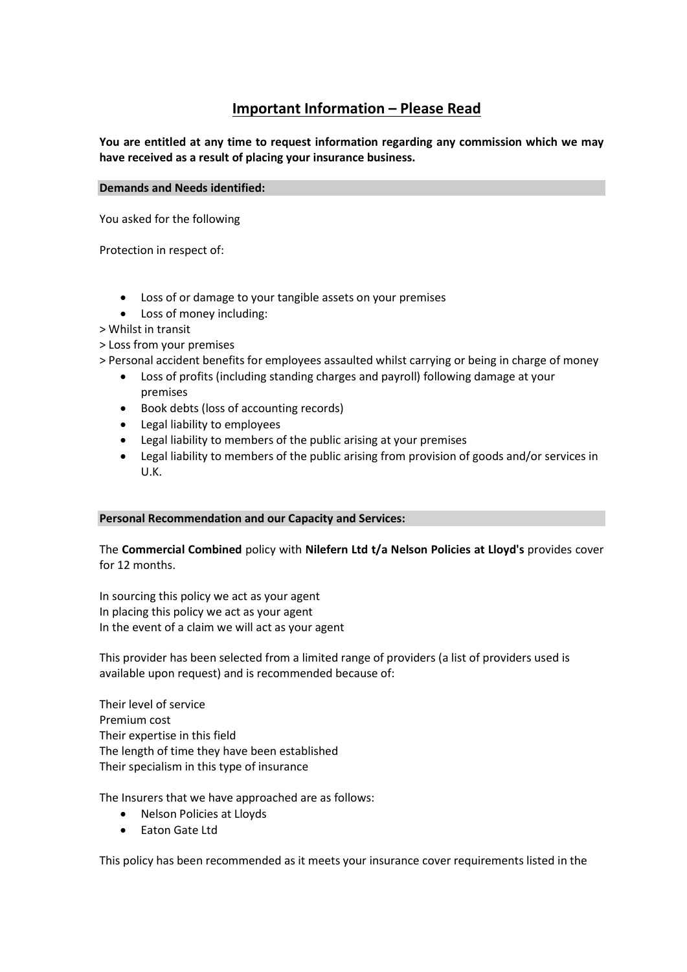## Important Information – Please Read

You are entitled at any time to request information regarding any commission which we may have received as a result of placing your insurance business.

#### Demands and Needs identified:

You asked for the following

Protection in respect of:

- Loss of or damage to your tangible assets on your premises
- Loss of money including:
- > Whilst in transit
- > Loss from your premises
- > Personal accident benefits for employees assaulted whilst carrying or being in charge of money
	- Loss of profits (including standing charges and payroll) following damage at your premises
	- Book debts (loss of accounting records)
	- Legal liability to employees
	- Legal liability to members of the public arising at your premises
	- Legal liability to members of the public arising from provision of goods and/or services in U.K.

#### Personal Recommendation and our Capacity and Services:

The Commercial Combined policy with Nilefern Ltd t/a Nelson Policies at Lloyd's provides cover for 12 months.

In sourcing this policy we act as your agent In placing this policy we act as your agent In the event of a claim we will act as your agent

This provider has been selected from a limited range of providers (a list of providers used is available upon request) and is recommended because of:

Their level of service Premium cost Their expertise in this field The length of time they have been established Their specialism in this type of insurance

The Insurers that we have approached are as follows:

- Nelson Policies at Lloyds
- Eaton Gate Ltd

This policy has been recommended as it meets your insurance cover requirements listed in the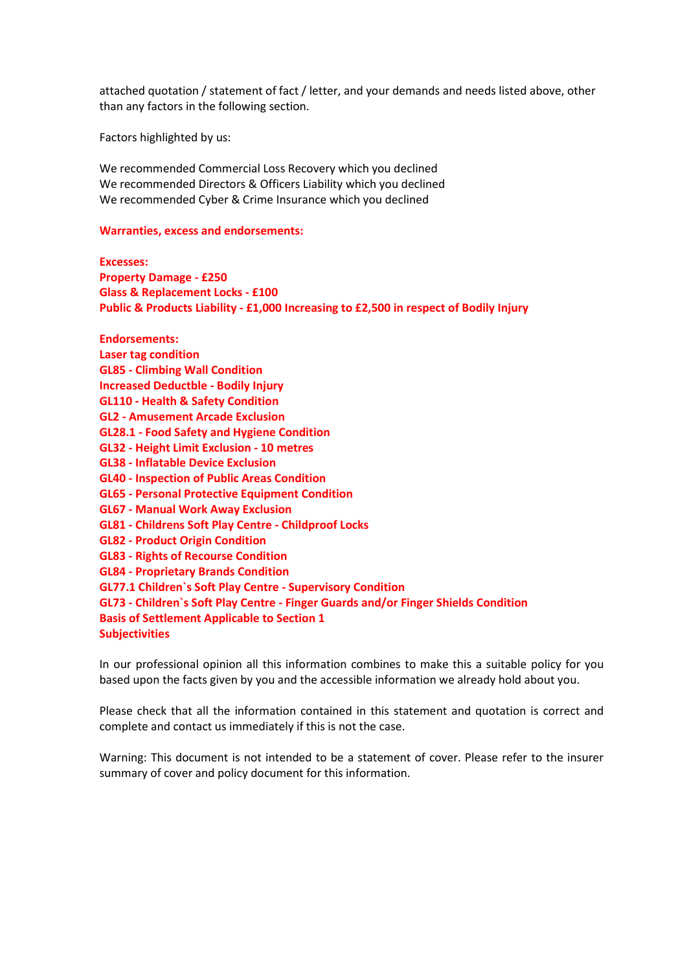attached quotation / statement of fact / letter, and your demands and needs listed above, other than any factors in the following section.

Factors highlighted by us:

We recommended Commercial Loss Recovery which you declined We recommended Directors & Officers Liability which you declined We recommended Cyber & Crime Insurance which you declined

#### Warranties, excess and endorsements:

Excesses:

Property Damage - £250 Glass & Replacement Locks - £100 Public & Products Liability - £1,000 Increasing to £2,500 in respect of Bodily Injury

Endorsements: Laser tag condition GL85 - Climbing Wall Condition Increased Deductble - Bodily Injury GL110 - Health & Safety Condition GL2 - Amusement Arcade Exclusion GL28.1 - Food Safety and Hygiene Condition GL32 - Height Limit Exclusion - 10 metres GL38 - Inflatable Device Exclusion GL40 - Inspection of Public Areas Condition GL65 - Personal Protective Equipment Condition GL67 - Manual Work Away Exclusion GL81 - Childrens Soft Play Centre - Childproof Locks GL82 - Product Origin Condition GL83 - Rights of Recourse Condition GL84 - Proprietary Brands Condition GL77.1 Children`s Soft Play Centre - Supervisory Condition GL73 - Children`s Soft Play Centre - Finger Guards and/or Finger Shields Condition Basis of Settlement Applicable to Section 1 Subjectivities

In our professional opinion all this information combines to make this a suitable policy for you based upon the facts given by you and the accessible information we already hold about you.

Please check that all the information contained in this statement and quotation is correct and complete and contact us immediately if this is not the case.

Warning: This document is not intended to be a statement of cover. Please refer to the insurer summary of cover and policy document for this information.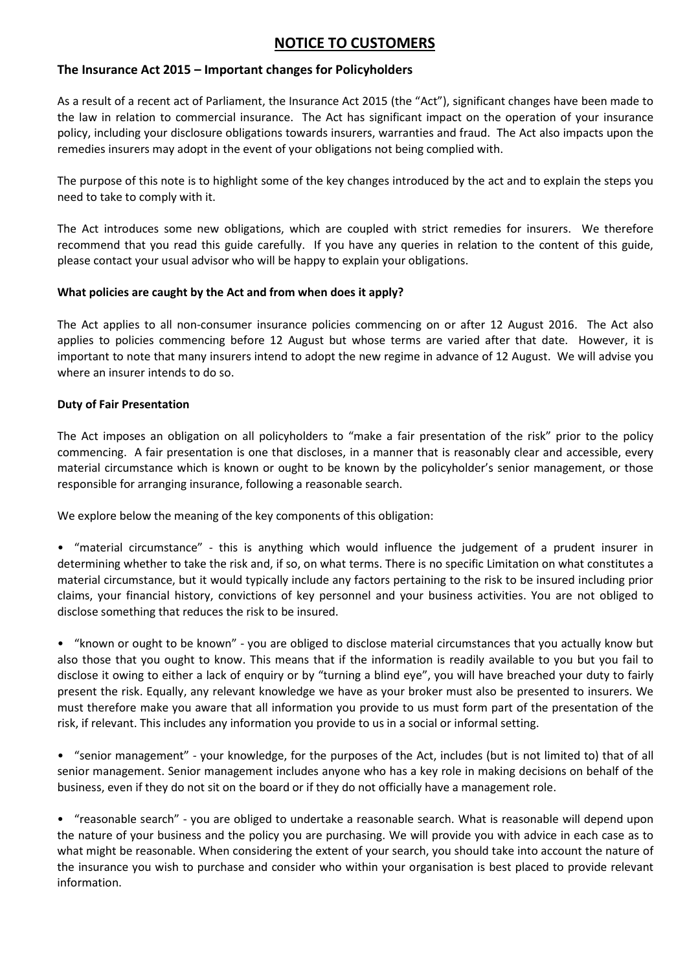## NOTICE TO CUSTOMERS

### The Insurance Act 2015 – Important changes for Policyholders

As a result of a recent act of Parliament, the Insurance Act 2015 (the "Act"), significant changes have been made to the law in relation to commercial insurance. The Act has significant impact on the operation of your insurance policy, including your disclosure obligations towards insurers, warranties and fraud. The Act also impacts upon the remedies insurers may adopt in the event of your obligations not being complied with.

The purpose of this note is to highlight some of the key changes introduced by the act and to explain the steps you need to take to comply with it.

The Act introduces some new obligations, which are coupled with strict remedies for insurers. We therefore recommend that you read this guide carefully. If you have any queries in relation to the content of this guide, please contact your usual advisor who will be happy to explain your obligations.

### What policies are caught by the Act and from when does it apply?

The Act applies to all non-consumer insurance policies commencing on or after 12 August 2016. The Act also applies to policies commencing before 12 August but whose terms are varied after that date. However, it is important to note that many insurers intend to adopt the new regime in advance of 12 August. We will advise you where an insurer intends to do so.

### Duty of Fair Presentation

The Act imposes an obligation on all policyholders to "make a fair presentation of the risk" prior to the policy commencing. A fair presentation is one that discloses, in a manner that is reasonably clear and accessible, every material circumstance which is known or ought to be known by the policyholder's senior management, or those responsible for arranging insurance, following a reasonable search.

We explore below the meaning of the key components of this obligation:

• "material circumstance" - this is anything which would influence the judgement of a prudent insurer in determining whether to take the risk and, if so, on what terms. There is no specific Limitation on what constitutes a material circumstance, but it would typically include any factors pertaining to the risk to be insured including prior claims, your financial history, convictions of key personnel and your business activities. You are not obliged to disclose something that reduces the risk to be insured.

• "known or ought to be known" - you are obliged to disclose material circumstances that you actually know but also those that you ought to know. This means that if the information is readily available to you but you fail to disclose it owing to either a lack of enquiry or by "turning a blind eye", you will have breached your duty to fairly present the risk. Equally, any relevant knowledge we have as your broker must also be presented to insurers. We must therefore make you aware that all information you provide to us must form part of the presentation of the risk, if relevant. This includes any information you provide to us in a social or informal setting.

• "senior management" - your knowledge, for the purposes of the Act, includes (but is not limited to) that of all senior management. Senior management includes anyone who has a key role in making decisions on behalf of the business, even if they do not sit on the board or if they do not officially have a management role.

• "reasonable search" - you are obliged to undertake a reasonable search. What is reasonable will depend upon the nature of your business and the policy you are purchasing. We will provide you with advice in each case as to what might be reasonable. When considering the extent of your search, you should take into account the nature of the insurance you wish to purchase and consider who within your organisation is best placed to provide relevant information.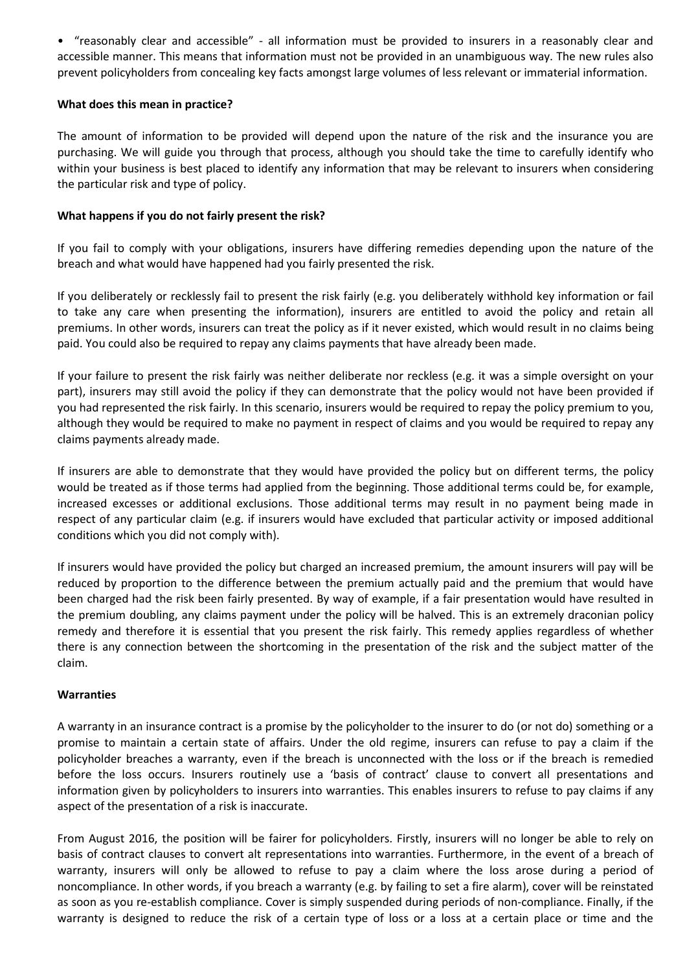• "reasonably clear and accessible" - all information must be provided to insurers in a reasonably clear and accessible manner. This means that information must not be provided in an unambiguous way. The new rules also prevent policyholders from concealing key facts amongst large volumes of less relevant or immaterial information.

### What does this mean in practice?

The amount of information to be provided will depend upon the nature of the risk and the insurance you are purchasing. We will guide you through that process, although you should take the time to carefully identify who within your business is best placed to identify any information that may be relevant to insurers when considering the particular risk and type of policy.

### What happens if you do not fairly present the risk?

If you fail to comply with your obligations, insurers have differing remedies depending upon the nature of the breach and what would have happened had you fairly presented the risk.

If you deliberately or recklessly fail to present the risk fairly (e.g. you deliberately withhold key information or fail to take any care when presenting the information), insurers are entitled to avoid the policy and retain all premiums. In other words, insurers can treat the policy as if it never existed, which would result in no claims being paid. You could also be required to repay any claims payments that have already been made.

If your failure to present the risk fairly was neither deliberate nor reckless (e.g. it was a simple oversight on your part), insurers may still avoid the policy if they can demonstrate that the policy would not have been provided if you had represented the risk fairly. In this scenario, insurers would be required to repay the policy premium to you, although they would be required to make no payment in respect of claims and you would be required to repay any claims payments already made.

If insurers are able to demonstrate that they would have provided the policy but on different terms, the policy would be treated as if those terms had applied from the beginning. Those additional terms could be, for example, increased excesses or additional exclusions. Those additional terms may result in no payment being made in respect of any particular claim (e.g. if insurers would have excluded that particular activity or imposed additional conditions which you did not comply with).

If insurers would have provided the policy but charged an increased premium, the amount insurers will pay will be reduced by proportion to the difference between the premium actually paid and the premium that would have been charged had the risk been fairly presented. By way of example, if a fair presentation would have resulted in the premium doubling, any claims payment under the policy will be halved. This is an extremely draconian policy remedy and therefore it is essential that you present the risk fairly. This remedy applies regardless of whether there is any connection between the shortcoming in the presentation of the risk and the subject matter of the claim.

#### Warranties

A warranty in an insurance contract is a promise by the policyholder to the insurer to do (or not do) something or a promise to maintain a certain state of affairs. Under the old regime, insurers can refuse to pay a claim if the policyholder breaches a warranty, even if the breach is unconnected with the loss or if the breach is remedied before the loss occurs. Insurers routinely use a 'basis of contract' clause to convert all presentations and information given by policyholders to insurers into warranties. This enables insurers to refuse to pay claims if any aspect of the presentation of a risk is inaccurate.

From August 2016, the position will be fairer for policyholders. Firstly, insurers will no longer be able to rely on basis of contract clauses to convert alt representations into warranties. Furthermore, in the event of a breach of warranty, insurers will only be allowed to refuse to pay a claim where the loss arose during a period of noncompliance. In other words, if you breach a warranty (e.g. by failing to set a fire alarm), cover will be reinstated as soon as you re-establish compliance. Cover is simply suspended during periods of non-compliance. Finally, if the warranty is designed to reduce the risk of a certain type of loss or a loss at a certain place or time and the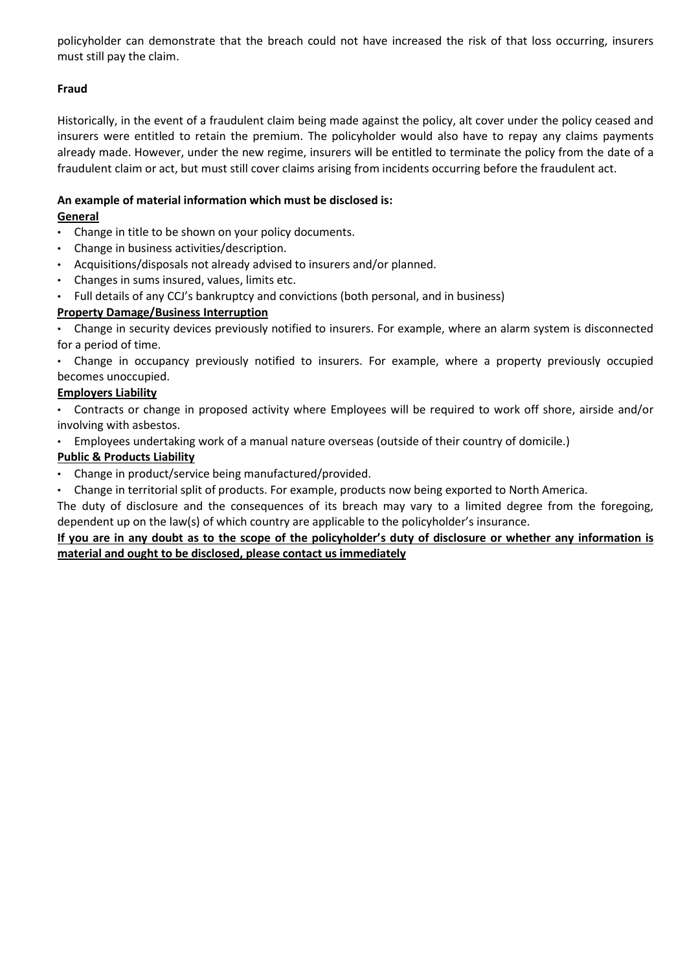policyholder can demonstrate that the breach could not have increased the risk of that loss occurring, insurers must still pay the claim.

## Fraud

Historically, in the event of a fraudulent claim being made against the policy, alt cover under the policy ceased and insurers were entitled to retain the premium. The policyholder would also have to repay any claims payments already made. However, under the new regime, insurers will be entitled to terminate the policy from the date of a fraudulent claim or act, but must still cover claims arising from incidents occurring before the fraudulent act.

### An example of material information which must be disclosed is:

### General

- Change in title to be shown on your policy documents.
- Change in business activities/description.
- Acquisitions/disposals not already advised to insurers and/or planned.
- Changes in sums insured, values, limits etc.
- Full details of any CCJ's bankruptcy and convictions (both personal, and in business)

### Property Damage/Business Interruption

• Change in security devices previously notified to insurers. For example, where an alarm system is disconnected for a period of time.

• Change in occupancy previously notified to insurers. For example, where a property previously occupied becomes unoccupied.

### Employers Liability

• Contracts or change in proposed activity where Employees will be required to work off shore, airside and/or involving with asbestos.

• Employees undertaking work of a manual nature overseas (outside of their country of domicile.)

### Public & Products Liability

• Change in product/service being manufactured/provided.

• Change in territorial split of products. For example, products now being exported to North America.

The duty of disclosure and the consequences of its breach may vary to a limited degree from the foregoing, dependent up on the law(s) of which country are applicable to the policyholder's insurance.

### If you are in any doubt as to the scope of the policyholder's duty of disclosure or whether any information is material and ought to be disclosed, please contact us immediately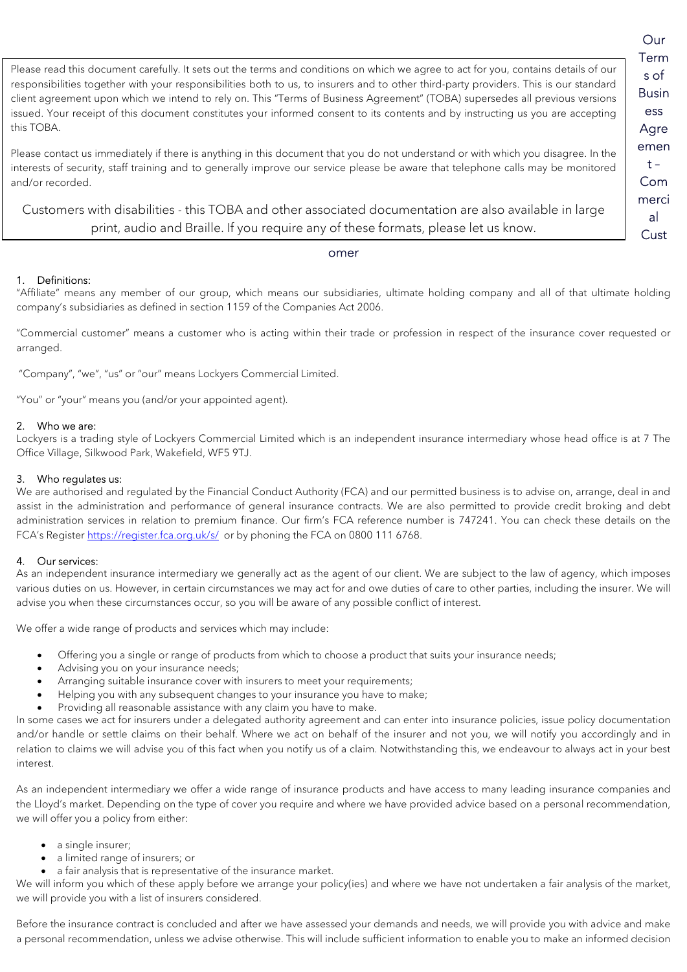Our Term s of Busin ess Agre emen  $t -$ Com merci al **Cust** 

Please read this document carefully. It sets out the terms and conditions on which we agree to act for you, contains details of our responsibilities together with your responsibilities both to us, to insurers and to other third-party providers. This is our standard client agreement upon which we intend to rely on. This "Terms of Business Agreement" (TOBA) supersedes all previous versions issued. Your receipt of this document constitutes your informed consent to its contents and by instructing us you are accepting this TOBA.

Please contact us immediately if there is anything in this document that you do not understand or with which you disagree. In the interests of security, staff training and to generally improve our service please be aware that telephone calls may be monitored and/or recorded.

Customers with disabilities - this TOBA and other associated documentation are also available in large print, audio and Braille. If you require any of these formats, please let us know.

#### omer

#### 1. Definitions:

"Affiliate" means any member of our group, which means our subsidiaries, ultimate holding company and all of that ultimate holding company's subsidiaries as defined in section 1159 of the Companies Act 2006.

"Commercial customer" means a customer who is acting within their trade or profession in respect of the insurance cover requested or arranged.

"Company", "we", "us" or "our" means Lockyers Commercial Limited.

"You" or "your" means you (and/or your appointed agent).

#### 2. Who we are:

Lockyers is a trading style of Lockyers Commercial Limited which is an independent insurance intermediary whose head office is at 7 The Office Village, Silkwood Park, Wakefield, WF5 9TJ.

#### 3. Who regulates us:

We are authorised and regulated by the Financial Conduct Authority (FCA) and our permitted business is to advise on, arrange, deal in and assist in the administration and performance of general insurance contracts. We are also permitted to provide credit broking and debt administration services in relation to premium finance. Our firm's FCA reference number is 747241. You can check these details on the FCA's Register https://register.fca.org.uk/s/ or by phoning the FCA on 0800 111 6768.

#### 4. Our services:

As an independent insurance intermediary we generally act as the agent of our client. We are subject to the law of agency, which imposes various duties on us. However, in certain circumstances we may act for and owe duties of care to other parties, including the insurer. We will advise you when these circumstances occur, so you will be aware of any possible conflict of interest.

We offer a wide range of products and services which may include:

- Offering you a single or range of products from which to choose a product that suits your insurance needs;
- Advising you on your insurance needs;
- Arranging suitable insurance cover with insurers to meet your requirements;
- Helping you with any subsequent changes to your insurance you have to make;
- Providing all reasonable assistance with any claim you have to make.

In some cases we act for insurers under a delegated authority agreement and can enter into insurance policies, issue policy documentation and/or handle or settle claims on their behalf. Where we act on behalf of the insurer and not you, we will notify you accordingly and in relation to claims we will advise you of this fact when you notify us of a claim. Notwithstanding this, we endeavour to always act in your best interest.

As an independent intermediary we offer a wide range of insurance products and have access to many leading insurance companies and the Lloyd's market. Depending on the type of cover you require and where we have provided advice based on a personal recommendation, we will offer you a policy from either:

- a single insurer;
- a limited range of insurers; or
- a fair analysis that is representative of the insurance market.

We will inform you which of these apply before we arrange your policy(ies) and where we have not undertaken a fair analysis of the market, we will provide you with a list of insurers considered.

Before the insurance contract is concluded and after we have assessed your demands and needs, we will provide you with advice and make a personal recommendation, unless we advise otherwise. This will include sufficient information to enable you to make an informed decision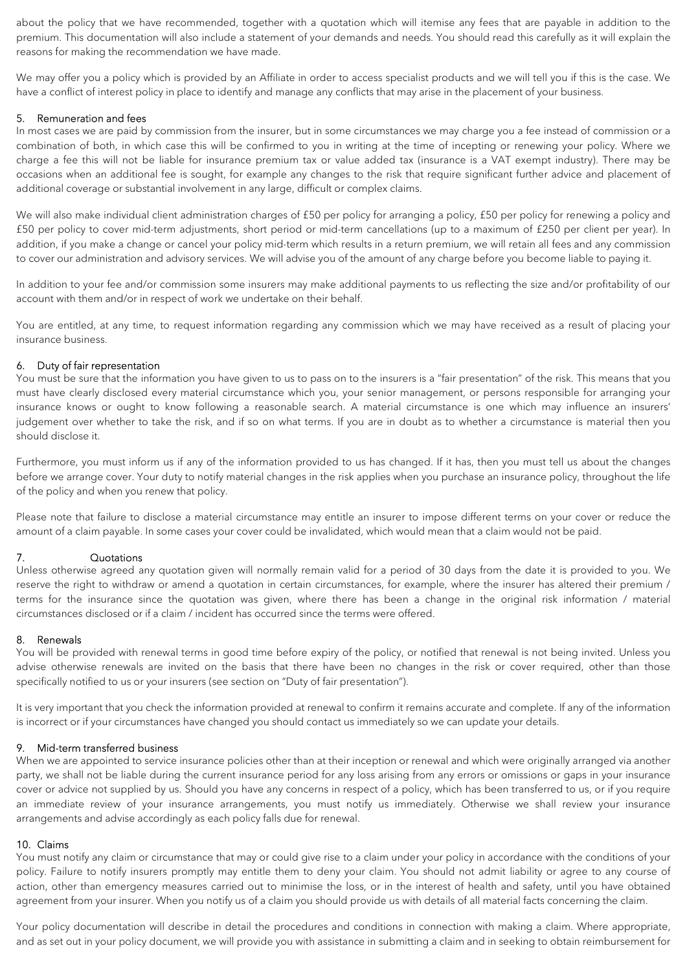about the policy that we have recommended, together with a quotation which will itemise any fees that are payable in addition to the premium. This documentation will also include a statement of your demands and needs. You should read this carefully as it will explain the reasons for making the recommendation we have made.

We may offer you a policy which is provided by an Affiliate in order to access specialist products and we will tell you if this is the case. We have a conflict of interest policy in place to identify and manage any conflicts that may arise in the placement of your business.

#### 5. Remuneration and fees

In most cases we are paid by commission from the insurer, but in some circumstances we may charge you a fee instead of commission or a combination of both, in which case this will be confirmed to you in writing at the time of incepting or renewing your policy. Where we charge a fee this will not be liable for insurance premium tax or value added tax (insurance is a VAT exempt industry). There may be occasions when an additional fee is sought, for example any changes to the risk that require significant further advice and placement of additional coverage or substantial involvement in any large, difficult or complex claims.

We will also make individual client administration charges of £50 per policy for arranging a policy, £50 per policy for renewing a policy and £50 per policy to cover mid-term adjustments, short period or mid-term cancellations (up to a maximum of £250 per client per year). In addition, if you make a change or cancel your policy mid-term which results in a return premium, we will retain all fees and any commission to cover our administration and advisory services. We will advise you of the amount of any charge before you become liable to paying it.

In addition to your fee and/or commission some insurers may make additional payments to us reflecting the size and/or profitability of our account with them and/or in respect of work we undertake on their behalf.

You are entitled, at any time, to request information regarding any commission which we may have received as a result of placing your insurance business.

#### 6. Duty of fair representation

You must be sure that the information you have given to us to pass on to the insurers is a "fair presentation" of the risk. This means that you must have clearly disclosed every material circumstance which you, your senior management, or persons responsible for arranging your insurance knows or ought to know following a reasonable search. A material circumstance is one which may influence an insurers' judgement over whether to take the risk, and if so on what terms. If you are in doubt as to whether a circumstance is material then you should disclose it.

Furthermore, you must inform us if any of the information provided to us has changed. If it has, then you must tell us about the changes before we arrange cover. Your duty to notify material changes in the risk applies when you purchase an insurance policy, throughout the life of the policy and when you renew that policy.

Please note that failure to disclose a material circumstance may entitle an insurer to impose different terms on your cover or reduce the amount of a claim payable. In some cases your cover could be invalidated, which would mean that a claim would not be paid.

#### 7. Quotations

Unless otherwise agreed any quotation given will normally remain valid for a period of 30 days from the date it is provided to you. We reserve the right to withdraw or amend a quotation in certain circumstances, for example, where the insurer has altered their premium / terms for the insurance since the quotation was given, where there has been a change in the original risk information / material circumstances disclosed or if a claim / incident has occurred since the terms were offered.

#### 8. Renewals

You will be provided with renewal terms in good time before expiry of the policy, or notified that renewal is not being invited. Unless you advise otherwise renewals are invited on the basis that there have been no changes in the risk or cover required, other than those specifically notified to us or your insurers (see section on "Duty of fair presentation").

It is very important that you check the information provided at renewal to confirm it remains accurate and complete. If any of the information is incorrect or if your circumstances have changed you should contact us immediately so we can update your details.

#### 9. Mid-term transferred business

When we are appointed to service insurance policies other than at their inception or renewal and which were originally arranged via another party, we shall not be liable during the current insurance period for any loss arising from any errors or omissions or gaps in your insurance cover or advice not supplied by us. Should you have any concerns in respect of a policy, which has been transferred to us, or if you require an immediate review of your insurance arrangements, you must notify us immediately. Otherwise we shall review your insurance arrangements and advise accordingly as each policy falls due for renewal.

#### 10. Claims

You must notify any claim or circumstance that may or could give rise to a claim under your policy in accordance with the conditions of your policy. Failure to notify insurers promptly may entitle them to deny your claim. You should not admit liability or agree to any course of action, other than emergency measures carried out to minimise the loss, or in the interest of health and safety, until you have obtained agreement from your insurer. When you notify us of a claim you should provide us with details of all material facts concerning the claim.

Your policy documentation will describe in detail the procedures and conditions in connection with making a claim. Where appropriate, and as set out in your policy document, we will provide you with assistance in submitting a claim and in seeking to obtain reimbursement for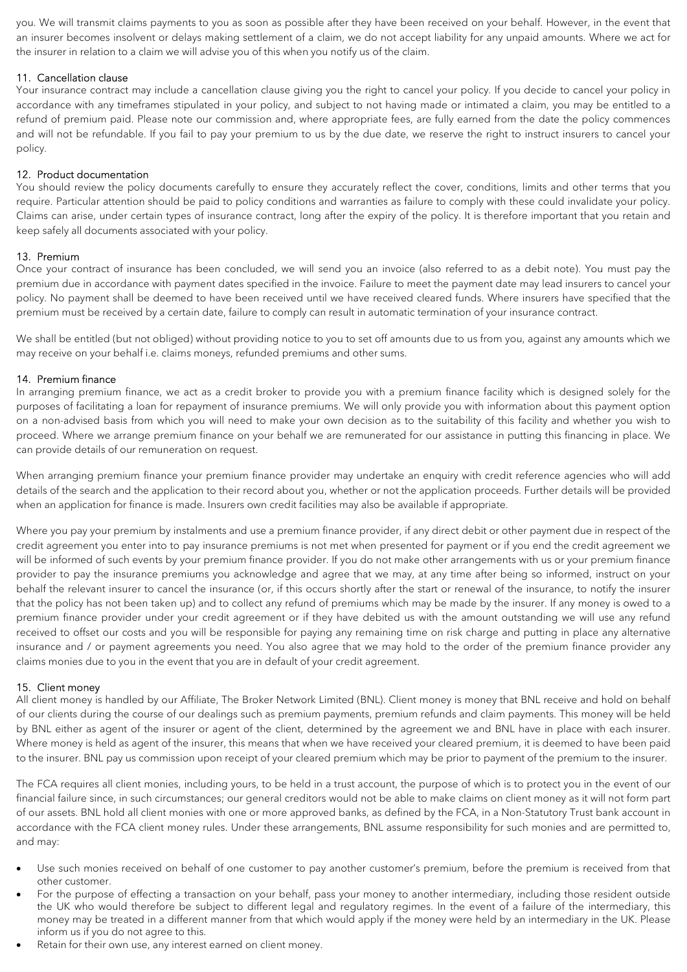you. We will transmit claims payments to you as soon as possible after they have been received on your behalf. However, in the event that an insurer becomes insolvent or delays making settlement of a claim, we do not accept liability for any unpaid amounts. Where we act for the insurer in relation to a claim we will advise you of this when you notify us of the claim.

#### 11. Cancellation clause

Your insurance contract may include a cancellation clause giving you the right to cancel your policy. If you decide to cancel your policy in accordance with any timeframes stipulated in your policy, and subject to not having made or intimated a claim, you may be entitled to a refund of premium paid. Please note our commission and, where appropriate fees, are fully earned from the date the policy commences and will not be refundable. If you fail to pay your premium to us by the due date, we reserve the right to instruct insurers to cancel your policy.

#### 12. Product documentation

You should review the policy documents carefully to ensure they accurately reflect the cover, conditions, limits and other terms that you require. Particular attention should be paid to policy conditions and warranties as failure to comply with these could invalidate your policy. Claims can arise, under certain types of insurance contract, long after the expiry of the policy. It is therefore important that you retain and keep safely all documents associated with your policy.

#### 13. Premium

Once your contract of insurance has been concluded, we will send you an invoice (also referred to as a debit note). You must pay the premium due in accordance with payment dates specified in the invoice. Failure to meet the payment date may lead insurers to cancel your policy. No payment shall be deemed to have been received until we have received cleared funds. Where insurers have specified that the premium must be received by a certain date, failure to comply can result in automatic termination of your insurance contract.

We shall be entitled (but not obliged) without providing notice to you to set off amounts due to us from you, against any amounts which we may receive on your behalf i.e. claims moneys, refunded premiums and other sums.

#### 14. Premium finance

In arranging premium finance, we act as a credit broker to provide you with a premium finance facility which is designed solely for the purposes of facilitating a loan for repayment of insurance premiums. We will only provide you with information about this payment option on a non-advised basis from which you will need to make your own decision as to the suitability of this facility and whether you wish to proceed. Where we arrange premium finance on your behalf we are remunerated for our assistance in putting this financing in place. We can provide details of our remuneration on request.

When arranging premium finance your premium finance provider may undertake an enquiry with credit reference agencies who will add details of the search and the application to their record about you, whether or not the application proceeds. Further details will be provided when an application for finance is made. Insurers own credit facilities may also be available if appropriate.

Where you pay your premium by instalments and use a premium finance provider, if any direct debit or other payment due in respect of the credit agreement you enter into to pay insurance premiums is not met when presented for payment or if you end the credit agreement we will be informed of such events by your premium finance provider. If you do not make other arrangements with us or your premium finance provider to pay the insurance premiums you acknowledge and agree that we may, at any time after being so informed, instruct on your behalf the relevant insurer to cancel the insurance (or, if this occurs shortly after the start or renewal of the insurance, to notify the insurer that the policy has not been taken up) and to collect any refund of premiums which may be made by the insurer. If any money is owed to a premium finance provider under your credit agreement or if they have debited us with the amount outstanding we will use any refund received to offset our costs and you will be responsible for paying any remaining time on risk charge and putting in place any alternative insurance and / or payment agreements you need. You also agree that we may hold to the order of the premium finance provider any claims monies due to you in the event that you are in default of your credit agreement.

#### 15. Client money

All client money is handled by our Affiliate, The Broker Network Limited (BNL). Client money is money that BNL receive and hold on behalf of our clients during the course of our dealings such as premium payments, premium refunds and claim payments. This money will be held by BNL either as agent of the insurer or agent of the client, determined by the agreement we and BNL have in place with each insurer. Where money is held as agent of the insurer, this means that when we have received your cleared premium, it is deemed to have been paid to the insurer. BNL pay us commission upon receipt of your cleared premium which may be prior to payment of the premium to the insurer.

The FCA requires all client monies, including yours, to be held in a trust account, the purpose of which is to protect you in the event of our financial failure since, in such circumstances; our general creditors would not be able to make claims on client money as it will not form part of our assets. BNL hold all client monies with one or more approved banks, as defined by the FCA, in a Non-Statutory Trust bank account in accordance with the FCA client money rules. Under these arrangements, BNL assume responsibility for such monies and are permitted to, and may:

- Use such monies received on behalf of one customer to pay another customer's premium, before the premium is received from that other customer.
- For the purpose of effecting a transaction on your behalf, pass your money to another intermediary, including those resident outside the UK who would therefore be subject to different legal and regulatory regimes. In the event of a failure of the intermediary, this money may be treated in a different manner from that which would apply if the money were held by an intermediary in the UK. Please inform us if you do not agree to this.
- Retain for their own use, any interest earned on client money.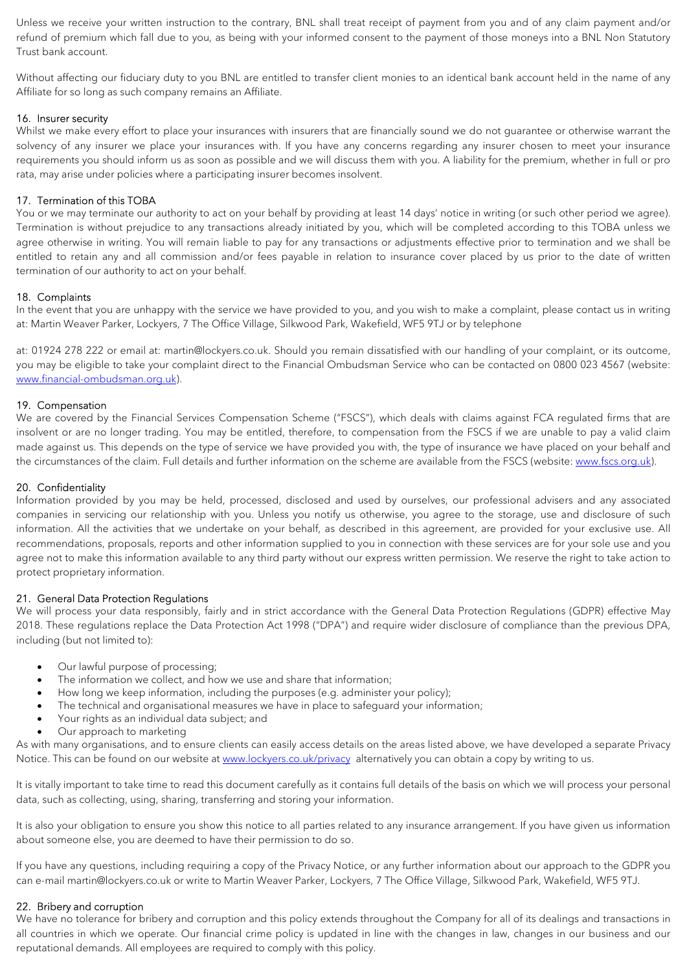Unless we receive your written instruction to the contrary, BNL shall treat receipt of payment from you and of any claim payment and/or refund of premium which fall due to you, as being with your informed consent to the payment of those moneys into a BNL Non Statutory Trust bank account.

Without affecting our fiduciary duty to you BNL are entitled to transfer client monies to an identical bank account held in the name of any Affiliate for so long as such company remains an Affiliate.

### 16. Insurer security

Whilst we make every effort to place your insurances with insurers that are financially sound we do not guarantee or otherwise warrant the solvency of any insurer we place your insurances with. If you have any concerns regarding any insurer chosen to meet your insurance requirements you should inform us as soon as possible and we will discuss them with you. A liability for the premium, whether in full or pro rata, may arise under policies where a participating insurer becomes insolvent.

### 17. Termination of this TOBA

You or we may terminate our authority to act on your behalf by providing at least 14 days' notice in writing (or such other period we agree). Termination is without prejudice to any transactions already initiated by you, which will be completed according to this TOBA unless we agree otherwise in writing. You will remain liable to pay for any transactions or adjustments effective prior to termination and we shall be entitled to retain any and all commission and/or fees payable in relation to insurance cover placed by us prior to the date of written termination of our authority to act on your behalf.

### 18. Complaints

In the event that you are unhappy with the service we have provided to you, and you wish to make a complaint, please contact us in writing at: Martin Weaver Parker, Lockyers, 7 The Office Village, Silkwood Park, Wakefield, WF5 9TJ or by telephone

at: 01924 278 222 or email at: martin@lockyers.co.uk. Should you remain dissatisfied with our handling of your complaint, or its outcome, you may be eligible to take your complaint direct to the Financial Ombudsman Service who can be contacted on 0800 023 4567 (website: www.financial-ombudsman.org.uk).

#### 19. Compensation

We are covered by the Financial Services Compensation Scheme ("FSCS"), which deals with claims against FCA regulated firms that are insolvent or are no longer trading. You may be entitled, therefore, to compensation from the FSCS if we are unable to pay a valid claim made against us. This depends on the type of service we have provided you with, the type of insurance we have placed on your behalf and the circumstances of the claim. Full details and further information on the scheme are available from the FSCS (website: www.fscs.org.uk).

#### 20. Confidentiality

Information provided by you may be held, processed, disclosed and used by ourselves, our professional advisers and any associated companies in servicing our relationship with you. Unless you notify us otherwise, you agree to the storage, use and disclosure of such information. All the activities that we undertake on your behalf, as described in this agreement, are provided for your exclusive use. All recommendations, proposals, reports and other information supplied to you in connection with these services are for your sole use and you agree not to make this information available to any third party without our express written permission. We reserve the right to take action to protect proprietary information.

#### 21. General Data Protection Regulations

We will process your data responsibly, fairly and in strict accordance with the General Data Protection Regulations (GDPR) effective May 2018. These regulations replace the Data Protection Act 1998 ("DPA") and require wider disclosure of compliance than the previous DPA, including (but not limited to):

- Our lawful purpose of processing;
- The information we collect, and how we use and share that information;
- How long we keep information, including the purposes (e.g. administer your policy);
- The technical and organisational measures we have in place to safeguard your information;
- Your rights as an individual data subject; and
- Our approach to marketing

As with many organisations, and to ensure clients can easily access details on the areas listed above, we have developed a separate Privacy Notice. This can be found on our website at www.lockyers.co.uk/privacy alternatively you can obtain a copy by writing to us.

It is vitally important to take time to read this document carefully as it contains full details of the basis on which we will process your personal data, such as collecting, using, sharing, transferring and storing your information.

It is also your obligation to ensure you show this notice to all parties related to any insurance arrangement. If you have given us information about someone else, you are deemed to have their permission to do so.

If you have any questions, including requiring a copy of the Privacy Notice, or any further information about our approach to the GDPR you can e-mail martin@lockyers.co.uk or write to Martin Weaver Parker, Lockyers, 7 The Office Village, Silkwood Park, Wakefield, WF5 9TJ.

#### 22. Bribery and corruption

We have no tolerance for bribery and corruption and this policy extends throughout the Company for all of its dealings and transactions in all countries in which we operate. Our financial crime policy is updated in line with the changes in law, changes in our business and our reputational demands. All employees are required to comply with this policy.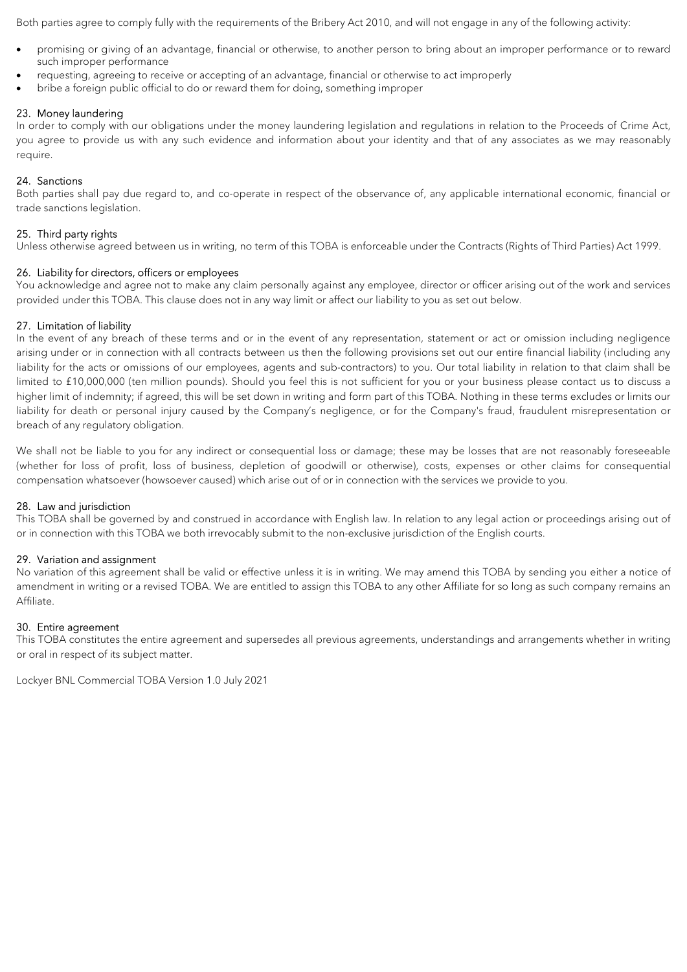Both parties agree to comply fully with the requirements of the Bribery Act 2010, and will not engage in any of the following activity:

- promising or giving of an advantage, financial or otherwise, to another person to bring about an improper performance or to reward such improper performance
- requesting, agreeing to receive or accepting of an advantage, financial or otherwise to act improperly
- bribe a foreign public official to do or reward them for doing, something improper

#### 23. Money laundering

In order to comply with our obligations under the money laundering legislation and regulations in relation to the Proceeds of Crime Act, you agree to provide us with any such evidence and information about your identity and that of any associates as we may reasonably require.

#### 24. Sanctions

Both parties shall pay due regard to, and co-operate in respect of the observance of, any applicable international economic, financial or trade sanctions legislation.

#### 25. Third party rights

Unless otherwise agreed between us in writing, no term of this TOBA is enforceable under the Contracts (Rights of Third Parties) Act 1999.

#### 26. Liability for directors, officers or employees

You acknowledge and agree not to make any claim personally against any employee, director or officer arising out of the work and services provided under this TOBA. This clause does not in any way limit or affect our liability to you as set out below.

#### 27. Limitation of liability

In the event of any breach of these terms and or in the event of any representation, statement or act or omission including negligence arising under or in connection with all contracts between us then the following provisions set out our entire financial liability (including any liability for the acts or omissions of our employees, agents and sub-contractors) to you. Our total liability in relation to that claim shall be limited to £10,000,000 (ten million pounds). Should you feel this is not sufficient for you or your business please contact us to discuss a higher limit of indemnity; if agreed, this will be set down in writing and form part of this TOBA. Nothing in these terms excludes or limits our liability for death or personal injury caused by the Company's negligence, or for the Company's fraud, fraudulent misrepresentation or breach of any regulatory obligation.

We shall not be liable to you for any indirect or consequential loss or damage; these may be losses that are not reasonably foreseeable (whether for loss of profit, loss of business, depletion of goodwill or otherwise), costs, expenses or other claims for consequential compensation whatsoever (howsoever caused) which arise out of or in connection with the services we provide to you.

#### 28. Law and jurisdiction

This TOBA shall be governed by and construed in accordance with English law. In relation to any legal action or proceedings arising out of or in connection with this TOBA we both irrevocably submit to the non-exclusive jurisdiction of the English courts.

#### 29. Variation and assignment

No variation of this agreement shall be valid or effective unless it is in writing. We may amend this TOBA by sending you either a notice of amendment in writing or a revised TOBA. We are entitled to assign this TOBA to any other Affiliate for so long as such company remains an Affiliate.

#### 30. Entire agreement

This TOBA constitutes the entire agreement and supersedes all previous agreements, understandings and arrangements whether in writing or oral in respect of its subject matter.

Lockyer BNL Commercial TOBA Version 1.0 July 2021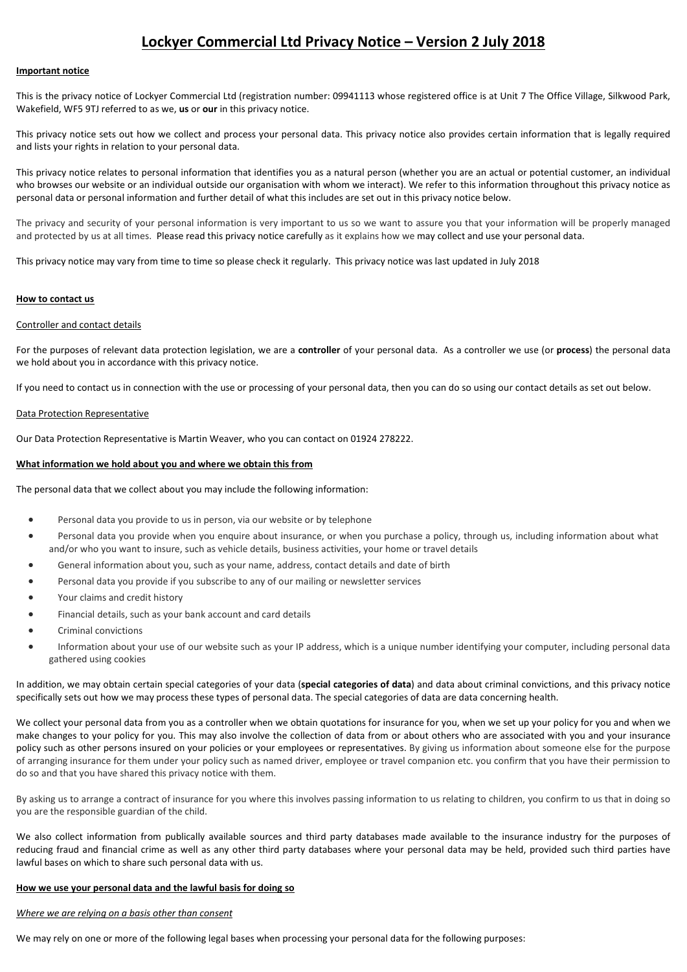## Lockyer Commercial Ltd Privacy Notice – Version 2 July 2018

#### Important notice

This is the privacy notice of Lockyer Commercial Ltd (registration number: 09941113 whose registered office is at Unit 7 The Office Village, Silkwood Park, Wakefield, WF5 9TJ referred to as we, us or our in this privacy notice.

This privacy notice sets out how we collect and process your personal data. This privacy notice also provides certain information that is legally required and lists your rights in relation to your personal data.

This privacy notice relates to personal information that identifies you as a natural person (whether you are an actual or potential customer, an individual who browses our website or an individual outside our organisation with whom we interact). We refer to this information throughout this privacy notice as personal data or personal information and further detail of what this includes are set out in this privacy notice below.

The privacy and security of your personal information is very important to us so we want to assure you that your information will be properly managed and protected by us at all times. Please read this privacy notice carefully as it explains how we may collect and use your personal data.

This privacy notice may vary from time to time so please check it regularly. This privacy notice was last updated in July 2018

#### How to contact us

#### Controller and contact details

For the purposes of relevant data protection legislation, we are a controller of your personal data. As a controller we use (or process) the personal data we hold about you in accordance with this privacy notice.

If you need to contact us in connection with the use or processing of your personal data, then you can do so using our contact details as set out below.

#### Data Protection Representative

Our Data Protection Representative is Martin Weaver, who you can contact on 01924 278222.

#### What information we hold about you and where we obtain this from

The personal data that we collect about you may include the following information:

- Personal data you provide to us in person, via our website or by telephone
- Personal data you provide when you enquire about insurance, or when you purchase a policy, through us, including information about what and/or who you want to insure, such as vehicle details, business activities, your home or travel details
- General information about you, such as your name, address, contact details and date of birth
- Personal data you provide if you subscribe to any of our mailing or newsletter services
- Your claims and credit history
- Financial details, such as your bank account and card details
- Criminal convictions
- Information about your use of our website such as your IP address, which is a unique number identifying your computer, including personal data gathered using cookies

In addition, we may obtain certain special categories of your data (special categories of data) and data about criminal convictions, and this privacy notice specifically sets out how we may process these types of personal data. The special categories of data are data concerning health.

We collect your personal data from you as a controller when we obtain quotations for insurance for you, when we set up your policy for you and when we make changes to your policy for you. This may also involve the collection of data from or about others who are associated with you and your insurance policy such as other persons insured on your policies or your employees or representatives. By giving us information about someone else for the purpose of arranging insurance for them under your policy such as named driver, employee or travel companion etc. you confirm that you have their permission to do so and that you have shared this privacy notice with them.

By asking us to arrange a contract of insurance for you where this involves passing information to us relating to children, you confirm to us that in doing so you are the responsible guardian of the child.

We also collect information from publically available sources and third party databases made available to the insurance industry for the purposes of reducing fraud and financial crime as well as any other third party databases where your personal data may be held, provided such third parties have lawful bases on which to share such personal data with us.

#### How we use your personal data and the lawful basis for doing so

#### Where we are relying on a basis other than consent

We may rely on one or more of the following legal bases when processing your personal data for the following purposes: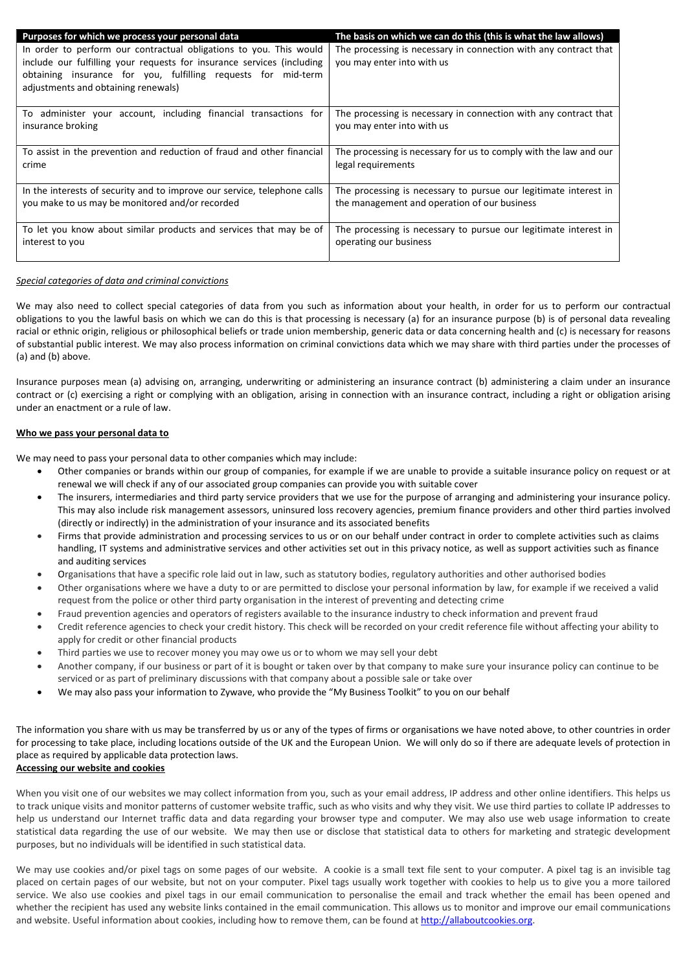| Purposes for which we process your personal data                                                                                                                                                                                                     | The basis on which we can do this (this is what the law allows)                                |
|------------------------------------------------------------------------------------------------------------------------------------------------------------------------------------------------------------------------------------------------------|------------------------------------------------------------------------------------------------|
| In order to perform our contractual obligations to you. This would<br>include our fulfilling your requests for insurance services (including<br>obtaining insurance for you, fulfilling requests for mid-term<br>adjustments and obtaining renewals) | The processing is necessary in connection with any contract that<br>you may enter into with us |
| To administer your account, including financial transactions for                                                                                                                                                                                     | The processing is necessary in connection with any contract that                               |
| insurance broking                                                                                                                                                                                                                                    | you may enter into with us                                                                     |
| To assist in the prevention and reduction of fraud and other financial                                                                                                                                                                               | The processing is necessary for us to comply with the law and our                              |
| crime                                                                                                                                                                                                                                                | legal requirements                                                                             |
| In the interests of security and to improve our service, telephone calls                                                                                                                                                                             | The processing is necessary to pursue our legitimate interest in                               |
| you make to us may be monitored and/or recorded                                                                                                                                                                                                      | the management and operation of our business                                                   |
| To let you know about similar products and services that may be of                                                                                                                                                                                   | The processing is necessary to pursue our legitimate interest in                               |
| interest to you                                                                                                                                                                                                                                      | operating our business                                                                         |

#### Special categories of data and criminal convictions

We may also need to collect special categories of data from you such as information about your health, in order for us to perform our contractual obligations to you the lawful basis on which we can do this is that processing is necessary (a) for an insurance purpose (b) is of personal data revealing racial or ethnic origin, religious or philosophical beliefs or trade union membership, generic data or data concerning health and (c) is necessary for reasons of substantial public interest. We may also process information on criminal convictions data which we may share with third parties under the processes of (a) and (b) above.

Insurance purposes mean (a) advising on, arranging, underwriting or administering an insurance contract (b) administering a claim under an insurance contract or (c) exercising a right or complying with an obligation, arising in connection with an insurance contract, including a right or obligation arising under an enactment or a rule of law.

#### Who we pass your personal data to

We may need to pass your personal data to other companies which may include:

- Other companies or brands within our group of companies, for example if we are unable to provide a suitable insurance policy on request or at renewal we will check if any of our associated group companies can provide you with suitable cover
- The insurers, intermediaries and third party service providers that we use for the purpose of arranging and administering your insurance policy. This may also include risk management assessors, uninsured loss recovery agencies, premium finance providers and other third parties involved (directly or indirectly) in the administration of your insurance and its associated benefits
- Firms that provide administration and processing services to us or on our behalf under contract in order to complete activities such as claims handling, IT systems and administrative services and other activities set out in this privacy notice, as well as support activities such as finance and auditing services
- Organisations that have a specific role laid out in law, such as statutory bodies, regulatory authorities and other authorised bodies
- Other organisations where we have a duty to or are permitted to disclose your personal information by law, for example if we received a valid request from the police or other third party organisation in the interest of preventing and detecting crime
- Fraud prevention agencies and operators of registers available to the insurance industry to check information and prevent fraud
- Credit reference agencies to check your credit history. This check will be recorded on your credit reference file without affecting your ability to apply for credit or other financial products
- Third parties we use to recover money you may owe us or to whom we may sell your debt
- Another company, if our business or part of it is bought or taken over by that company to make sure your insurance policy can continue to be serviced or as part of preliminary discussions with that company about a possible sale or take over
- We may also pass your information to Zywave, who provide the "My Business Toolkit" to you on our behalf

The information you share with us may be transferred by us or any of the types of firms or organisations we have noted above, to other countries in order for processing to take place, including locations outside of the UK and the European Union. We will only do so if there are adequate levels of protection in place as required by applicable data protection laws. Accessing our website and cookies

When you visit one of our websites we may collect information from you, such as your email address, IP address and other online identifiers. This helps us to track unique visits and monitor patterns of customer website traffic, such as who visits and why they visit. We use third parties to collate IP addresses to help us understand our Internet traffic data and data regarding your browser type and computer. We may also use web usage information to create statistical data regarding the use of our website. We may then use or disclose that statistical data to others for marketing and strategic development purposes, but no individuals will be identified in such statistical data.

We may use cookies and/or pixel tags on some pages of our website. A cookie is a small text file sent to your computer. A pixel tag is an invisible tag placed on certain pages of our website, but not on your computer. Pixel tags usually work together with cookies to help us to give you a more tailored service. We also use cookies and pixel tags in our email communication to personalise the email and track whether the email has been opened and whether the recipient has used any website links contained in the email communication. This allows us to monitor and improve our email communications and website. Useful information about cookies, including how to remove them, can be found at http://allaboutcookies.org.